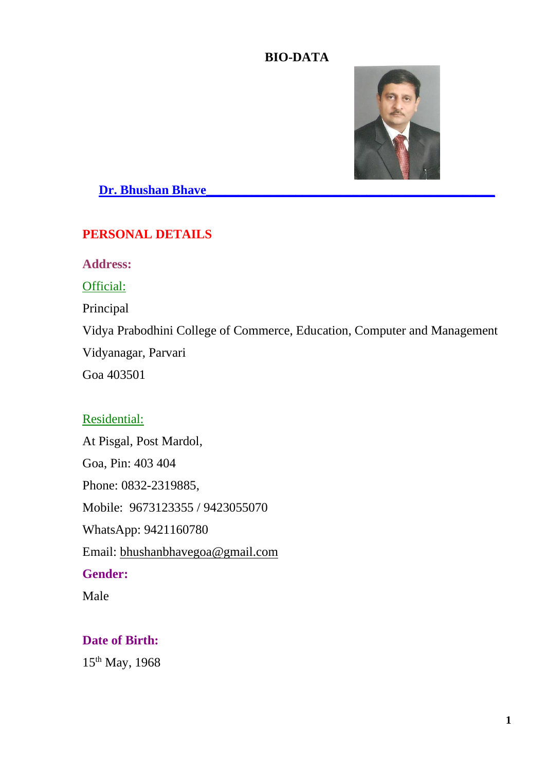### **BIO-DATA**



**Dr. Bhushan Bhave\_\_\_\_\_\_\_\_\_\_\_\_\_\_\_\_\_\_\_\_\_\_\_\_\_\_\_\_\_\_\_\_\_\_\_\_\_\_\_\_\_\_\_\_\_**

## **PERSONAL DETAILS**

**Address:**

Official:

Principal

Vidya Prabodhini College of Commerce, Education, Computer and Management

Vidyanagar, Parvari

Goa 403501

### Residential:

At Pisgal, Post Mardol, Goa, Pin: 403 404 Phone: 0832-2319885, Mobile: 9673123355 / 9423055070 WhatsApp: 9421160780 Email: [bhushanbhavegoa@gmail.com](mailto:bhushanbhavegoa@gmail.com) **Gender:** Male

## **Date of Birth:**

15th May, 1968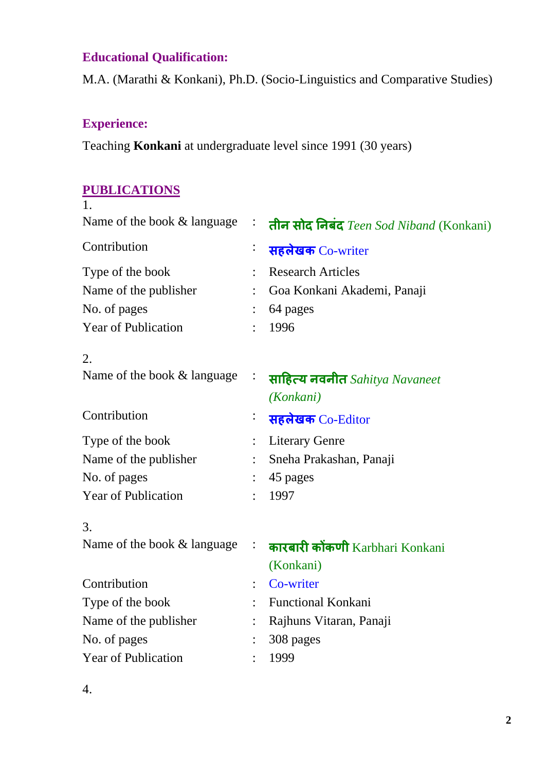# **Educational Qualification:**

M.A. (Marathi & Konkani), Ph.D. (Socio-Linguistics and Comparative Studies)

## **Experience:**

Teaching **Konkani** at undergraduate level since 1991 (30 years)

### **PUBLICATIONS**

| $\ddot{\cdot}$ | तीन सोद निबंद Teen Sod Niband (Konkani)      |
|----------------|----------------------------------------------|
|                | सहलेखक Co-writer                             |
|                | <b>Research Articles</b>                     |
|                | Goa Konkani Akademi, Panaji                  |
|                | 64 pages                                     |
|                | 1996                                         |
|                |                                              |
| $\ddot{\cdot}$ | साहित्य नवनीत Sahitya Navaneet               |
|                | (Konkani)                                    |
|                | सहलेखक Co-Editor                             |
|                | <b>Literary Genre</b>                        |
|                | Sneha Prakashan, Panaji                      |
|                | 45 pages                                     |
|                | 1997                                         |
|                |                                              |
|                | कारबारी कोंकणी Karbhari Konkani<br>(Konkani) |
|                | Co-writer                                    |
|                | <b>Functional Konkani</b>                    |
|                | Rajhuns Vitaran, Panaji                      |
|                | 308 pages                                    |
|                | 1999                                         |
|                |                                              |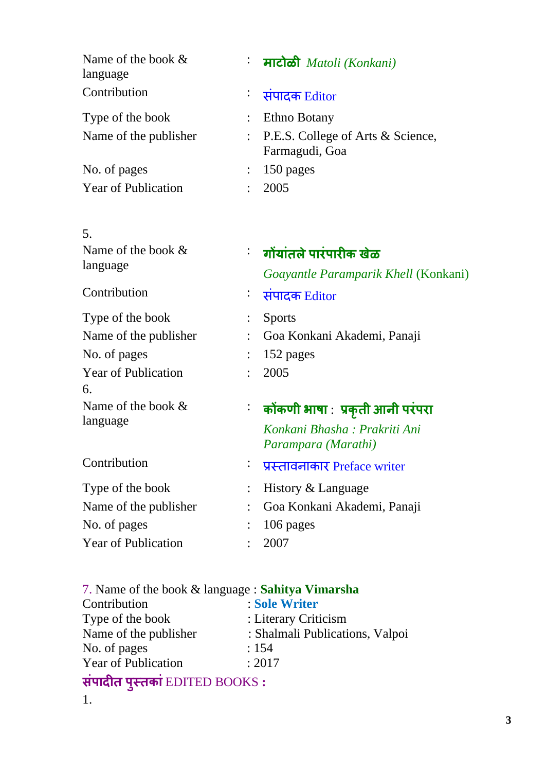| Name of the book $\&$<br>language | <del>:</del> माटोळी Matoli (Konkani)                  |
|-----------------------------------|-------------------------------------------------------|
| Contribution                      | <del>: संपादक</del> Editor                            |
| Type of the book                  | Ethno Botany                                          |
| Name of the publisher             | : P.E.S. College of Arts & Science,<br>Farmagudi, Goa |
| No. of pages                      | 150 pages                                             |
| <b>Year of Publication</b>        | 2005                                                  |

| 5.                               |                |                                             |
|----------------------------------|----------------|---------------------------------------------|
| Name of the book $&$<br>language |                | <sup>:</sup> गोंयांतले पारंपारीक खेळ        |
|                                  |                | <i>Goayantle Paramparik Khell</i> (Konkani) |
| Contribution                     |                | <del>ं संपादक</del> Editor                  |
| Type of the book                 |                | <b>Sports</b>                               |
| Name of the publisher            |                | Goa Konkani Akademi, Panaji                 |
| No. of pages                     |                | 152 pages                                   |
| <b>Year of Publication</b>       |                | 2005                                        |
| 6.                               |                |                                             |
| Name of the book $&$<br>language |                | ं कोंकणी भाषा : प्रकृती आनी परंपरा          |
|                                  |                | Konkani Bhasha : Prakriti Ani               |
|                                  |                | Parampara (Marathi)                         |
| Contribution                     | $\bullet$      | प्रस्तावनाकार Preface writer                |
| Type of the book                 |                | History & Language                          |
| Name of the publisher            | $\ddot{\cdot}$ | Goa Konkani Akademi, Panaji                 |
| No. of pages                     |                | 106 pages                                   |
| <b>Year of Publication</b>       |                | 2007                                        |

| 7. Name of the book & language : Sahitya Vimarsha |                                 |
|---------------------------------------------------|---------------------------------|
| Contribution                                      | : Sole Writer                   |
| Type of the book                                  | : Literary Criticism            |
| Name of the publisher                             | : Shalmali Publications, Valpoi |
| No. of pages                                      | : 154                           |
| <b>Year of Publication</b>                        | : 2017                          |
| संपादीत पुस्तकां EDITED BOOKS:                    |                                 |
|                                                   |                                 |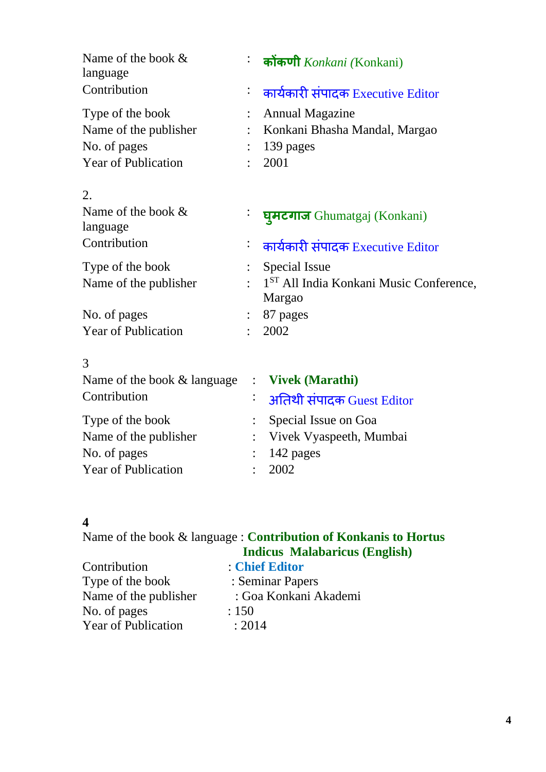| Name of the book $\&$<br>language                          | ं कोंकणी Konkani (Konkani)                                    |
|------------------------------------------------------------|---------------------------------------------------------------|
| Contribution                                               | कार्यकारी संपादक Executive Editor                             |
| Type of the book                                           | <b>Annual Magazine</b>                                        |
| Name of the publisher                                      | Konkani Bhasha Mandal, Margao                                 |
| No. of pages                                               | 139 pages                                                     |
| <b>Year of Publication</b>                                 | 2001                                                          |
| 2.                                                         |                                                               |
| Name of the book &<br>language                             | घूमटगाज Ghumatgaj (Konkani)                                   |
| Contribution                                               | ं कार्यकारी संपादक Executive Editor                           |
| Type of the book                                           | Special Issue                                                 |
| Name of the publisher                                      | 1 <sup>ST</sup> All India Konkani Music Conference,<br>Margao |
| No. of pages                                               | 87 pages                                                      |
| <b>Year of Publication</b>                                 | 2002                                                          |
| 3                                                          |                                                               |
| Name of the book $&$ language $\therefore$ Vivek (Marathi) |                                                               |
| Contribution                                               |                                                               |

| Contribution               |  | <del>: अतिथी संपादक</del> Guest Editor |
|----------------------------|--|----------------------------------------|
| Type of the book           |  | : Special Issue on Goa                 |
| Name of the publisher      |  | : Vivek Vyaspeeth, Mumbai              |
| No. of pages               |  | $: 142 \text{ pages}$                  |
| <b>Year of Publication</b> |  | : 2002                                 |
|                            |  |                                        |

## **4**

Name of the book & language : **Contribution of Konkanis to Hortus** 

|                            | <b>Indicus Malabaricus (English)</b> |
|----------------------------|--------------------------------------|
| Contribution               | : Chief Editor                       |
| Type of the book           | : Seminar Papers                     |
| Name of the publisher      | : Goa Konkani Akademi                |
| No. of pages               | : 150                                |
| <b>Year of Publication</b> | : 2014                               |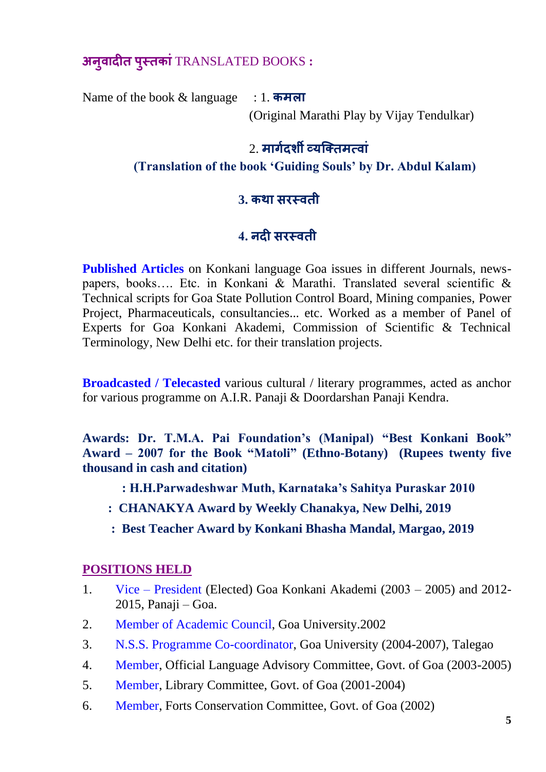**अन ु वादीत प ुस्तकां**TRANSLATED BOOKS **:**

Name of the book & language : 1. **कमला**

(Original Marathi Play by Vijay Tendulkar)

## 2. **मागगदर्शी व्यक्ततमत्वां**

#### **(Translation of the book 'Guiding Souls' by Dr. Abdul Kalam)**

### **3. कथा सरस्वती**

# **4. नदी सरस्वती**

**Published Articles** on Konkani language Goa issues in different Journals, newspapers, books…. Etc. in Konkani & Marathi. Translated several scientific & Technical scripts for Goa State Pollution Control Board, Mining companies, Power Project, Pharmaceuticals, consultancies... etc. Worked as a member of Panel of Experts for Goa Konkani Akademi, Commission of Scientific & Technical Terminology, New Delhi etc. for their translation projects.

**Broadcasted / Telecasted** various cultural / literary programmes, acted as anchor for various programme on A.I.R. Panaji & Doordarshan Panaji Kendra.

**Awards: Dr. T.M.A. Pai Foundation's (Manipal) "Best Konkani Book" Award – 2007 for the Book "Matoli" (Ethno-Botany) (Rupees twenty five thousand in cash and citation)**

- **: H.H.Parwadeshwar Muth, Karnataka's Sahitya Puraskar 2010**
- **: CHANAKYA Award by Weekly Chanakya, New Delhi, 2019**
- **: Best Teacher Award by Konkani Bhasha Mandal, Margao, 2019**

### **POSITIONS HELD**

- 1. Vice President (Elected) Goa Konkani Akademi (2003 2005) and 2012- 2015, Panaji – Goa.
- 2. Member of Academic Council, Goa University.2002
- 3. N.S.S. Programme Co-coordinator, Goa University (2004-2007), Talegao
- 4. Member, Official Language Advisory Committee, Govt. of Goa (2003-2005)
- 5. Member, Library Committee, Govt. of Goa (2001-2004)
- 6. Member, Forts Conservation Committee, Govt. of Goa (2002)